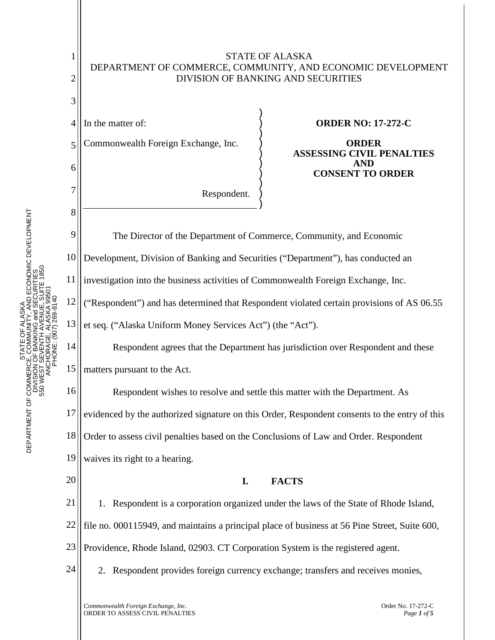

DMMUNITY, AND ECONOMIC DEVELOPMENT<br>ANKING and SECURITIES<br>INTH AVENUE, SUITE 1850 DEPARTMENT OF COMMERCE, COMMUNITY, AND ECONOMIC DEVELOPMENT 550 WEST SEVENTH AVENUE, SUITE 1850 DIVISION OF BANKING and SECURITIES ANCHORAGE, ALASKA 99501 PHONE: (907) 269-8140 ALASKA STATE OF ALASKA ŏ STATE O<br>SION OF BANKI<br>SION OF BANKI<br>SION OF BANKI DEPARTMENT OF COMMERCE<br>DIVISION<br>S50 WEST S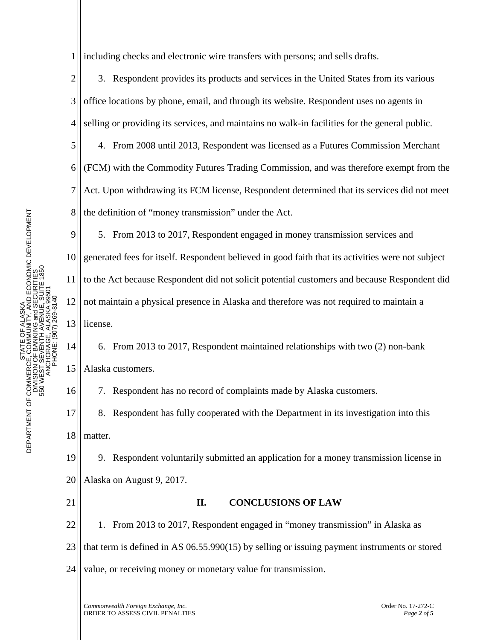STATE OF ALASKA<br>CE, COMMUNITY, AND ECONOMIC DEVELOPMENT<br>J OF BANKING and SECURITIES<br>- SEVENTH AVENUE, SUITE 1850<br>CHORAGE, ALASKA 99501 DEPARTMENT OF COMMERCE, COMMUNITY, AND ECONOMIC DEVELOPMENT 550 WEST SEVENTH AVENUE, SUITE 1850 DIVISION OF BANKING and SECURITIES ANCHORAGE, ALASKA 99501 PHONE: (907) 269-8140 STATE OF ALASKA DEPARTMENT OF COMMERCE<br>DNISION<br>560 WEST S

1 including checks and electronic wire transfers with persons; and sells drafts.

2 3 4 3. Respondent provides its products and services in the United States from its various office locations by phone, email, and through its website. Respondent uses no agents in selling or providing its services, and maintains no walk-in facilities for the general public.

5 6 7 8 4. From 2008 until 2013, Respondent was licensed as a Futures Commission Merchant (FCM) with the Commodity Futures Trading Commission, and was therefore exempt from the Act. Upon withdrawing its FCM license, Respondent determined that its services did not meet the definition of "money transmission" under the Act.

9 10 11 12 13 5. From 2013 to 2017, Respondent engaged in money transmission services and generated fees for itself. Respondent believed in good faith that its activities were not subject to the Act because Respondent did not solicit potential customers and because Respondent did not maintain a physical presence in Alaska and therefore was not required to maintain a license.

14 15 6. From 2013 to 2017, Respondent maintained relationships with two (2) non-bank Alaska customers.

7. Respondent has no record of complaints made by Alaska customers.

17 18 8. Respondent has fully cooperated with the Department in its investigation into this matter.

19 20 9. Respondent voluntarily submitted an application for a money transmission license in Alaska on August 9, 2017.

21

16

## **II. CONCLUSIONS OF LAW**

22 23 24 1. From 2013 to 2017, Respondent engaged in "money transmission" in Alaska as that term is defined in AS 06.55.990(15) by selling or issuing payment instruments or stored value, or receiving money or monetary value for transmission.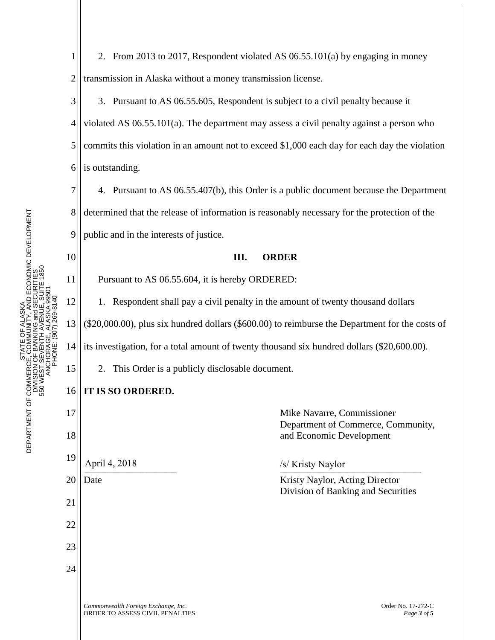7

8

9

10

12

15

1 2 2. From 2013 to 2017, Respondent violated AS 06.55.101(a) by engaging in money transmission in Alaska without a money transmission license.

3 4 5 6 3. Pursuant to AS 06.55.605, Respondent is subject to a civil penalty because it violated AS 06.55.101(a). The department may assess a civil penalty against a person who commits this violation in an amount not to exceed \$1,000 each day for each day the violation is outstanding.

4. Pursuant to AS 06.55.407(b), this Order is a public document because the Department determined that the release of information is reasonably necessary for the protection of the public and in the interests of justice.

**III. ORDER**

11 Pursuant to AS 06.55.604, it is hereby ORDERED:

1. Respondent shall pay a civil penalty in the amount of twenty thousand dollars

13 (\$20,000.00), plus six hundred dollars (\$600.00) to reimburse the Department for the costs of

14 its investigation, for a total amount of twenty thousand six hundred dollars (\$20,600.00).

2. This Order is a publicly disclosable document.

## 16 **IT IS SO ORDERED.**

*Commonwealth Foreign Exchange, Inc.* Order No. 17-272-C 17 18 19 20 21 22 23 24 Mike Navarre, Commissioner Department of Commerce, Community, and Economic Development  $\frac{1}{2}$   $\frac{1}{2}$   $\frac{1}{2}$   $\frac{1}{2}$   $\frac{1}{2}$   $\frac{1}{2}$   $\frac{1}{2}$   $\frac{1}{2}$   $\frac{1}{2}$   $\frac{1}{2}$   $\frac{1}{2}$   $\frac{1}{2}$   $\frac{1}{2}$   $\frac{1}{2}$   $\frac{1}{2}$   $\frac{1}{2}$   $\frac{1}{2}$   $\frac{1}{2}$   $\frac{1}{2}$   $\frac{1}{2}$   $\frac{1}{2}$   $\frac{1}{2}$  Date **Example 2.1 September 2.1 September 2.1 September 2.1 September 2.1 September 2.1 September 2.1 September 2.1 September 2.1 September 2.1 September 2.1 September 2.1 September 2.1 September 2.1 September 2.1 Septembe** Division of Banking and Securities April 4, 2018 /s/ Kristy Naylor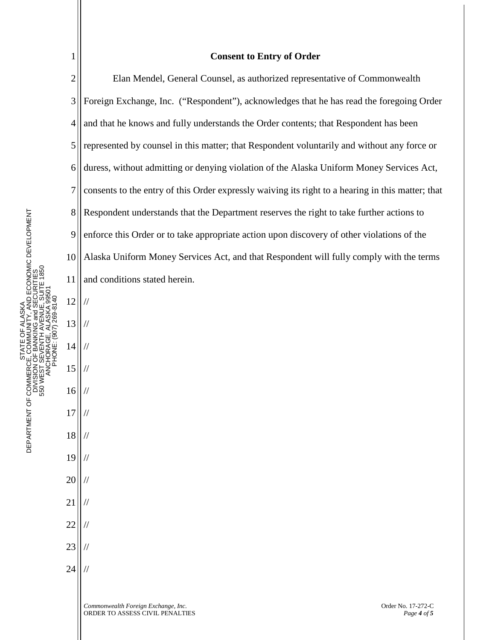| <b>NITY, AND ECONOMIC DEVELOPMENT</b><br>JUE, SUITE 1850<br>NG and SECURITIES<br>NCHORAGE. ALASKA 99501<br>DH0-692 (NO6) : ENDH4<br>STATE OF ALASKA<br>550 WEST SEVENTH AVEN<br>DEPARTMENT OF COMMERCE, COMMU<br>NAG HONOISIN |                                  |
|-------------------------------------------------------------------------------------------------------------------------------------------------------------------------------------------------------------------------------|----------------------------------|
|                                                                                                                                                                                                                               |                                  |
|                                                                                                                                                                                                                               | 6<br>7<br>8<br>9<br>10           |
|                                                                                                                                                                                                                               |                                  |
|                                                                                                                                                                                                                               | 11                               |
|                                                                                                                                                                                                                               | 12                               |
|                                                                                                                                                                                                                               | 13                               |
|                                                                                                                                                                                                                               |                                  |
|                                                                                                                                                                                                                               |                                  |
|                                                                                                                                                                                                                               |                                  |
|                                                                                                                                                                                                                               | 14<br>15<br>16<br>17<br>18<br>19 |
|                                                                                                                                                                                                                               |                                  |
|                                                                                                                                                                                                                               |                                  |

//

//

//

//

//

//

//

//

//

//

//

//

//

20

21

22

23

24

1

## **Consent to Entry of Order**

2 3 4 5 6 7 8 9 10 11 Elan Mendel, General Counsel, as authorized representative of Commonwealth Foreign Exchange, Inc. ("Respondent"), acknowledges that he has read the foregoing Order and that he knows and fully understands the Order contents; that Respondent has been represented by counsel in this matter; that Respondent voluntarily and without any force or duress, without admitting or denying violation of the Alaska Uniform Money Services Act, consents to the entry of this Order expressly waiving its right to a hearing in this matter; that Respondent understands that the Department reserves the right to take further actions to enforce this Order or to take appropriate action upon discovery of other violations of the Alaska Uniform Money Services Act, and that Respondent will fully comply with the terms and conditions stated herein.